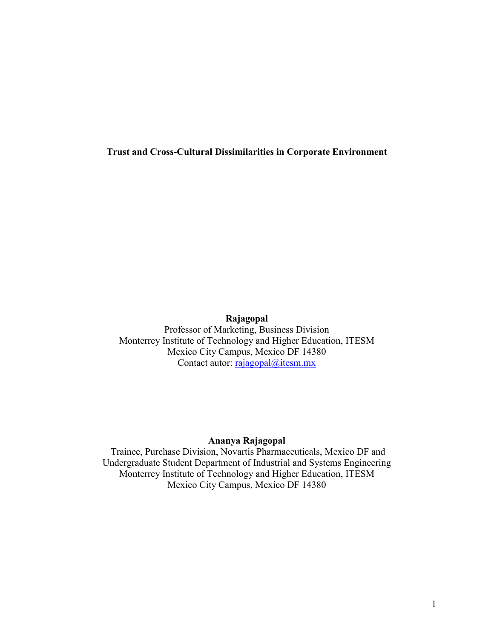Trust and Cross-Cultural Dissimilarities in Corporate Environment

## Rajagopal

Professor of Marketing, Business Division Monterrey Institute of Technology and Higher Education, ITESM Mexico City Campus, Mexico DF 14380 Contact autor: <u>rajagopal@itesm.mx</u>

# Ananya Rajagopal

 Trainee, Purchase Division, Novartis Pharmaceuticals, Mexico DF and Undergraduate Student Department of Industrial and Systems Engineering Monterrey Institute of Technology and Higher Education, ITESM Mexico City Campus, Mexico DF 14380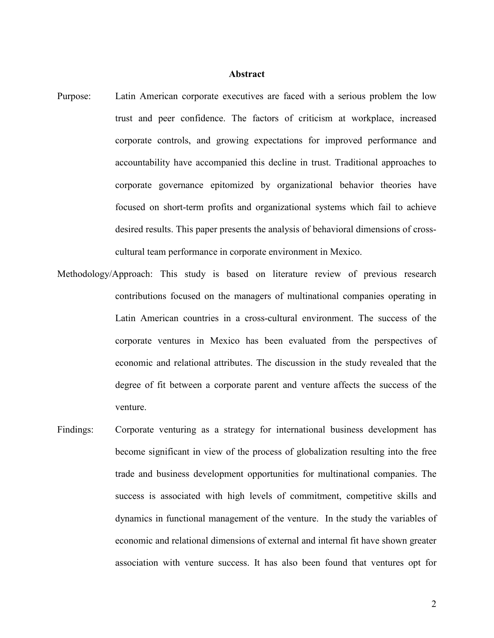#### Abstract

- Purpose: Latin American corporate executives are faced with a serious problem the low trust and peer confidence. The factors of criticism at workplace, increased corporate controls, and growing expectations for improved performance and accountability have accompanied this decline in trust. Traditional approaches to corporate governance epitomized by organizational behavior theories have focused on short-term profits and organizational systems which fail to achieve desired results. This paper presents the analysis of behavioral dimensions of crosscultural team performance in corporate environment in Mexico.
- Methodology/Approach: This study is based on literature review of previous research contributions focused on the managers of multinational companies operating in Latin American countries in a cross-cultural environment. The success of the corporate ventures in Mexico has been evaluated from the perspectives of economic and relational attributes. The discussion in the study revealed that the degree of fit between a corporate parent and venture affects the success of the venture.
- Findings: Corporate venturing as a strategy for international business development has become significant in view of the process of globalization resulting into the free trade and business development opportunities for multinational companies. The success is associated with high levels of commitment, competitive skills and dynamics in functional management of the venture. In the study the variables of economic and relational dimensions of external and internal fit have shown greater association with venture success. It has also been found that ventures opt for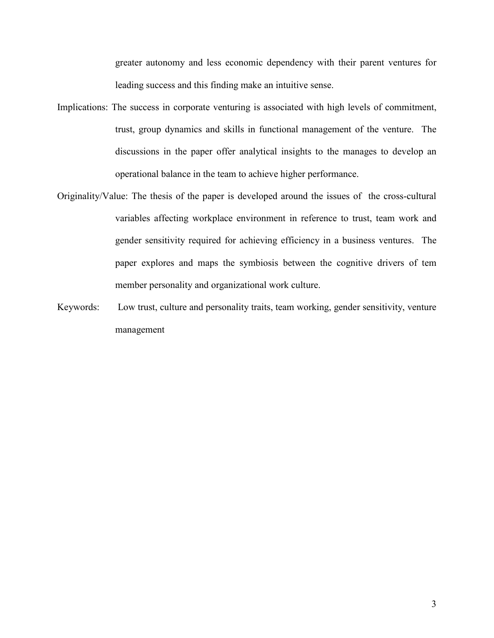greater autonomy and less economic dependency with their parent ventures for leading success and this finding make an intuitive sense.

- Implications: The success in corporate venturing is associated with high levels of commitment, trust, group dynamics and skills in functional management of the venture. The discussions in the paper offer analytical insights to the manages to develop an operational balance in the team to achieve higher performance.
- Originality/Value: The thesis of the paper is developed around the issues of the cross-cultural variables affecting workplace environment in reference to trust, team work and gender sensitivity required for achieving efficiency in a business ventures. The paper explores and maps the symbiosis between the cognitive drivers of tem member personality and organizational work culture.
- Keywords: Low trust, culture and personality traits, team working, gender sensitivity, venture management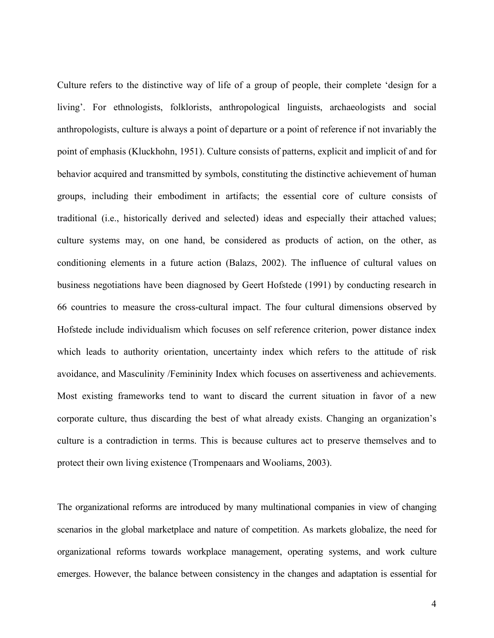Culture refers to the distinctive way of life of a group of people, their complete 'design for a living'. For ethnologists, folklorists, anthropological linguists, archaeologists and social anthropologists, culture is always a point of departure or a point of reference if not invariably the point of emphasis (Kluckhohn, 1951). Culture consists of patterns, explicit and implicit of and for behavior acquired and transmitted by symbols, constituting the distinctive achievement of human groups, including their embodiment in artifacts; the essential core of culture consists of traditional (i.e., historically derived and selected) ideas and especially their attached values; culture systems may, on one hand, be considered as products of action, on the other, as conditioning elements in a future action (Balazs, 2002). The influence of cultural values on business negotiations have been diagnosed by Geert Hofstede (1991) by conducting research in 66 countries to measure the cross-cultural impact. The four cultural dimensions observed by Hofstede include individualism which focuses on self reference criterion, power distance index which leads to authority orientation, uncertainty index which refers to the attitude of risk avoidance, and Masculinity /Femininity Index which focuses on assertiveness and achievements. Most existing frameworks tend to want to discard the current situation in favor of a new corporate culture, thus discarding the best of what already exists. Changing an organization's culture is a contradiction in terms. This is because cultures act to preserve themselves and to protect their own living existence (Trompenaars and Wooliams, 2003).

The organizational reforms are introduced by many multinational companies in view of changing scenarios in the global marketplace and nature of competition. As markets globalize, the need for organizational reforms towards workplace management, operating systems, and work culture emerges. However, the balance between consistency in the changes and adaptation is essential for

4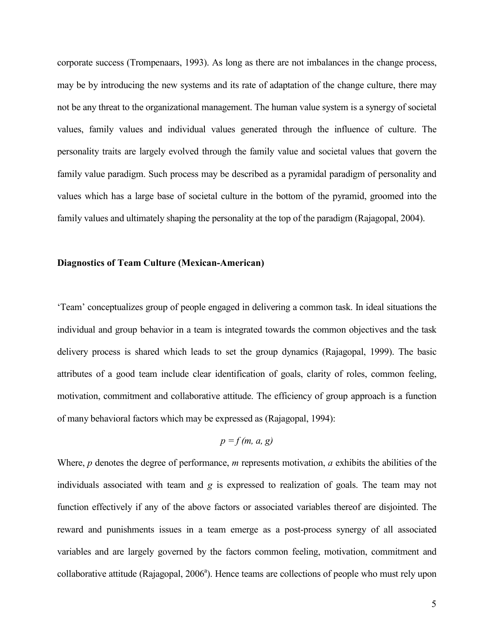corporate success (Trompenaars, 1993). As long as there are not imbalances in the change process, may be by introducing the new systems and its rate of adaptation of the change culture, there may not be any threat to the organizational management. The human value system is a synergy of societal values, family values and individual values generated through the influence of culture. The personality traits are largely evolved through the family value and societal values that govern the family value paradigm. Such process may be described as a pyramidal paradigm of personality and values which has a large base of societal culture in the bottom of the pyramid, groomed into the family values and ultimately shaping the personality at the top of the paradigm (Rajagopal, 2004).

### Diagnostics of Team Culture (Mexican-American)

'Team' conceptualizes group of people engaged in delivering a common task. In ideal situations the individual and group behavior in a team is integrated towards the common objectives and the task delivery process is shared which leads to set the group dynamics (Rajagopal, 1999). The basic attributes of a good team include clear identification of goals, clarity of roles, common feeling, motivation, commitment and collaborative attitude. The efficiency of group approach is a function of many behavioral factors which may be expressed as (Rajagopal, 1994):

$$
p=f(m, a, g)
$$

Where,  $p$  denotes the degree of performance,  $m$  represents motivation,  $a$  exhibits the abilities of the individuals associated with team and  $g$  is expressed to realization of goals. The team may not function effectively if any of the above factors or associated variables thereof are disjointed. The reward and punishments issues in a team emerge as a post-process synergy of all associated variables and are largely governed by the factors common feeling, motivation, commitment and collaborative attitude (Rajagopal, 2006<sup>a</sup>). Hence teams are collections of people who must rely upon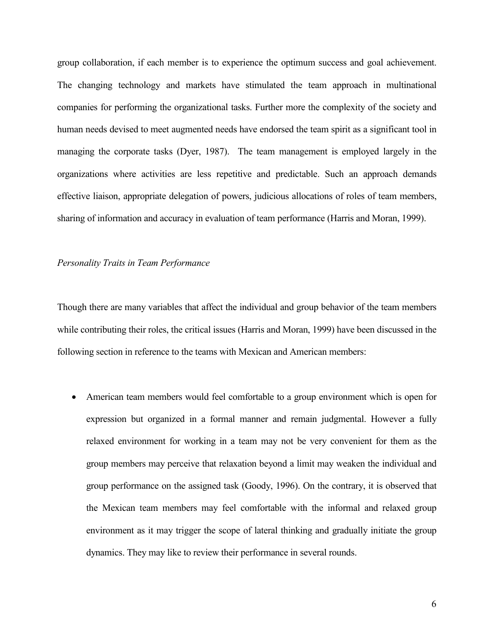group collaboration, if each member is to experience the optimum success and goal achievement. The changing technology and markets have stimulated the team approach in multinational companies for performing the organizational tasks. Further more the complexity of the society and human needs devised to meet augmented needs have endorsed the team spirit as a significant tool in managing the corporate tasks (Dyer, 1987). The team management is employed largely in the organizations where activities are less repetitive and predictable. Such an approach demands effective liaison, appropriate delegation of powers, judicious allocations of roles of team members, sharing of information and accuracy in evaluation of team performance (Harris and Moran, 1999).

### Personality Traits in Team Performance

Though there are many variables that affect the individual and group behavior of the team members while contributing their roles, the critical issues (Harris and Moran, 1999) have been discussed in the following section in reference to the teams with Mexican and American members:

• American team members would feel comfortable to a group environment which is open for expression but organized in a formal manner and remain judgmental. However a fully relaxed environment for working in a team may not be very convenient for them as the group members may perceive that relaxation beyond a limit may weaken the individual and group performance on the assigned task (Goody, 1996). On the contrary, it is observed that the Mexican team members may feel comfortable with the informal and relaxed group environment as it may trigger the scope of lateral thinking and gradually initiate the group dynamics. They may like to review their performance in several rounds.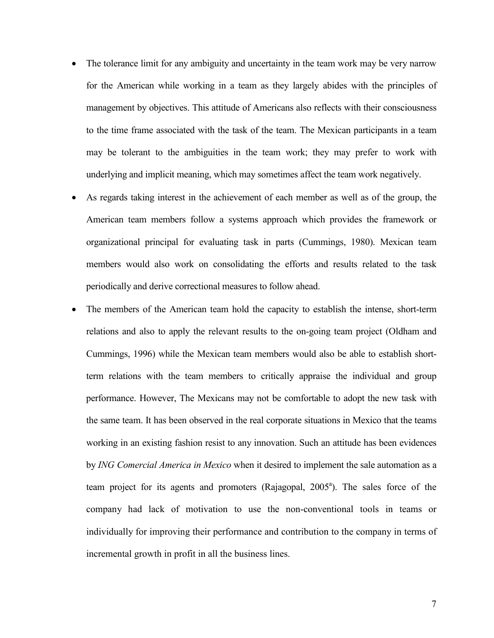- The tolerance limit for any ambiguity and uncertainty in the team work may be very narrow for the American while working in a team as they largely abides with the principles of management by objectives. This attitude of Americans also reflects with their consciousness to the time frame associated with the task of the team. The Mexican participants in a team may be tolerant to the ambiguities in the team work; they may prefer to work with underlying and implicit meaning, which may sometimes affect the team work negatively.
- As regards taking interest in the achievement of each member as well as of the group, the American team members follow a systems approach which provides the framework or organizational principal for evaluating task in parts (Cummings, 1980). Mexican team members would also work on consolidating the efforts and results related to the task periodically and derive correctional measures to follow ahead.
- The members of the American team hold the capacity to establish the intense, short-term relations and also to apply the relevant results to the on-going team project (Oldham and Cummings, 1996) while the Mexican team members would also be able to establish shortterm relations with the team members to critically appraise the individual and group performance. However, The Mexicans may not be comfortable to adopt the new task with the same team. It has been observed in the real corporate situations in Mexico that the teams working in an existing fashion resist to any innovation. Such an attitude has been evidences by ING Comercial America in Mexico when it desired to implement the sale automation as a team project for its agents and promoters (Rajagopal, 2005<sup>a</sup>). The sales force of the company had lack of motivation to use the non-conventional tools in teams or individually for improving their performance and contribution to the company in terms of incremental growth in profit in all the business lines.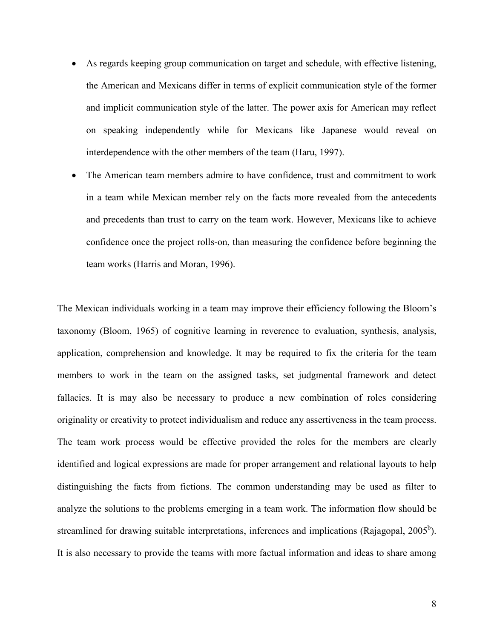- As regards keeping group communication on target and schedule, with effective listening, the American and Mexicans differ in terms of explicit communication style of the former and implicit communication style of the latter. The power axis for American may reflect on speaking independently while for Mexicans like Japanese would reveal on interdependence with the other members of the team (Haru, 1997).
- The American team members admire to have confidence, trust and commitment to work in a team while Mexican member rely on the facts more revealed from the antecedents and precedents than trust to carry on the team work. However, Mexicans like to achieve confidence once the project rolls-on, than measuring the confidence before beginning the team works (Harris and Moran, 1996).

The Mexican individuals working in a team may improve their efficiency following the Bloom's taxonomy (Bloom, 1965) of cognitive learning in reverence to evaluation, synthesis, analysis, application, comprehension and knowledge. It may be required to fix the criteria for the team members to work in the team on the assigned tasks, set judgmental framework and detect fallacies. It is may also be necessary to produce a new combination of roles considering originality or creativity to protect individualism and reduce any assertiveness in the team process. The team work process would be effective provided the roles for the members are clearly identified and logical expressions are made for proper arrangement and relational layouts to help distinguishing the facts from fictions. The common understanding may be used as filter to analyze the solutions to the problems emerging in a team work. The information flow should be streamlined for drawing suitable interpretations, inferences and implications (Rajagopal,  $2005<sup>b</sup>$ ). It is also necessary to provide the teams with more factual information and ideas to share among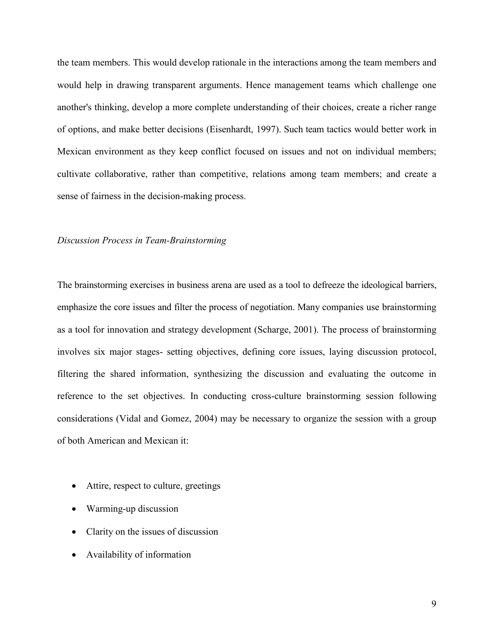the team members. This would develop rationale in the interactions among the team members and would help in drawing transparent arguments. Hence management teams which challenge one another's thinking, develop a more complete understanding of their choices, create a richer range of options, and make better decisions (Eisenhardt, 1997). Such team tactics would better work in Mexican environment as they keep conflict focused on issues and not on individual members; cultivate collaborative, rather than competitive, relations among team members; and create a sense of fairness in the decision-making process.

## Discussion Process in Team-Brainstorming

The brainstorming exercises in business arena are used as a tool to defreeze the ideological barriers, emphasize the core issues and filter the process of negotiation. Many companies use brainstorming as a tool for innovation and strategy development (Scharge, 2001). The process of brainstorming involves six major stages- setting objectives, defining core issues, laying discussion protocol, filtering the shared information, synthesizing the discussion and evaluating the outcome in reference to the set objectives. In conducting cross-culture brainstorming session following considerations (Vidal and Gomez, 2004) may be necessary to organize the session with a group of both American and Mexican it:

- Attire, respect to culture, greetings
- Warming-up discussion
- Clarity on the issues of discussion
- Availability of information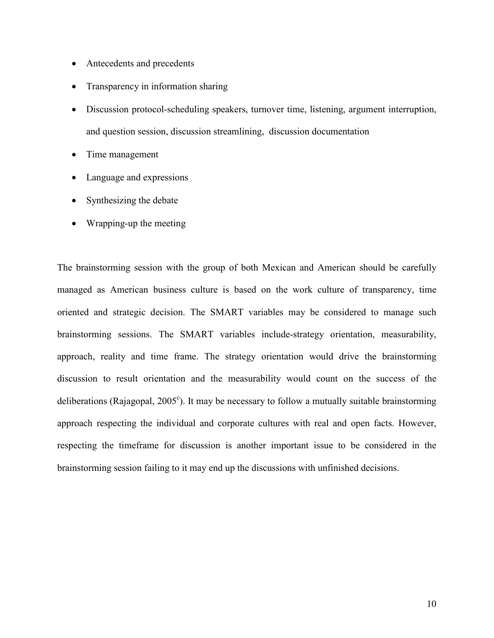- Antecedents and precedents
- Transparency in information sharing
- Discussion protocol-scheduling speakers, turnover time, listening, argument interruption, and question session, discussion streamlining, discussion documentation
- Time management
- Language and expressions
- Synthesizing the debate
- Wrapping-up the meeting

The brainstorming session with the group of both Mexican and American should be carefully managed as American business culture is based on the work culture of transparency, time oriented and strategic decision. The SMART variables may be considered to manage such brainstorming sessions. The SMART variables include-strategy orientation, measurability, approach, reality and time frame. The strategy orientation would drive the brainstorming discussion to result orientation and the measurability would count on the success of the deliberations (Rajagopal, 2005<sup>c</sup>). It may be necessary to follow a mutually suitable brainstorming approach respecting the individual and corporate cultures with real and open facts. However, respecting the timeframe for discussion is another important issue to be considered in the brainstorming session failing to it may end up the discussions with unfinished decisions.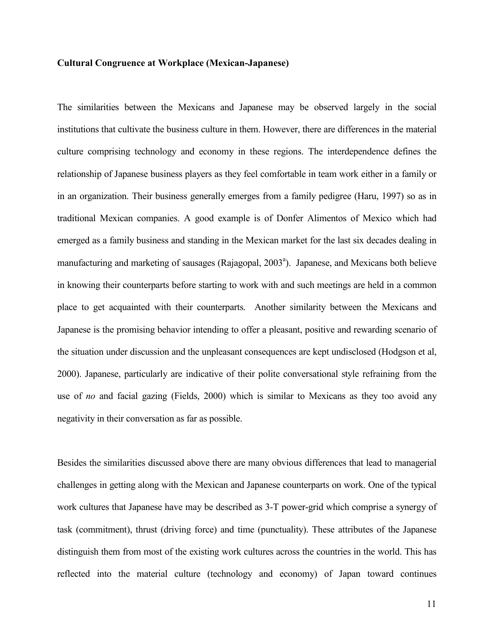### Cultural Congruence at Workplace (Mexican-Japanese)

The similarities between the Mexicans and Japanese may be observed largely in the social institutions that cultivate the business culture in them. However, there are differences in the material culture comprising technology and economy in these regions. The interdependence defines the relationship of Japanese business players as they feel comfortable in team work either in a family or in an organization. Their business generally emerges from a family pedigree (Haru, 1997) so as in traditional Mexican companies. A good example is of Donfer Alimentos of Mexico which had emerged as a family business and standing in the Mexican market for the last six decades dealing in manufacturing and marketing of sausages (Rajagopal, 2003<sup>a</sup>). Japanese, and Mexicans both believe in knowing their counterparts before starting to work with and such meetings are held in a common place to get acquainted with their counterparts. Another similarity between the Mexicans and Japanese is the promising behavior intending to offer a pleasant, positive and rewarding scenario of the situation under discussion and the unpleasant consequences are kept undisclosed (Hodgson et al, 2000). Japanese, particularly are indicative of their polite conversational style refraining from the use of no and facial gazing (Fields, 2000) which is similar to Mexicans as they too avoid any negativity in their conversation as far as possible.

Besides the similarities discussed above there are many obvious differences that lead to managerial challenges in getting along with the Mexican and Japanese counterparts on work. One of the typical work cultures that Japanese have may be described as 3-T power-grid which comprise a synergy of task (commitment), thrust (driving force) and time (punctuality). These attributes of the Japanese distinguish them from most of the existing work cultures across the countries in the world. This has reflected into the material culture (technology and economy) of Japan toward continues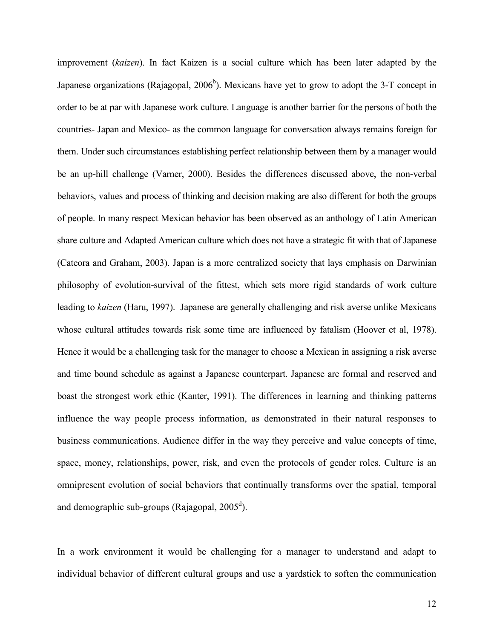improvement (kaizen). In fact Kaizen is a social culture which has been later adapted by the Japanese organizations (Rajagopal,  $2006<sup>b</sup>$ ). Mexicans have yet to grow to adopt the 3-T concept in order to be at par with Japanese work culture. Language is another barrier for the persons of both the countries- Japan and Mexico- as the common language for conversation always remains foreign for them. Under such circumstances establishing perfect relationship between them by a manager would be an up-hill challenge (Varner, 2000). Besides the differences discussed above, the non-verbal behaviors, values and process of thinking and decision making are also different for both the groups of people. In many respect Mexican behavior has been observed as an anthology of Latin American share culture and Adapted American culture which does not have a strategic fit with that of Japanese (Cateora and Graham, 2003). Japan is a more centralized society that lays emphasis on Darwinian philosophy of evolution-survival of the fittest, which sets more rigid standards of work culture leading to kaizen (Haru, 1997). Japanese are generally challenging and risk averse unlike Mexicans whose cultural attitudes towards risk some time are influenced by fatalism (Hoover et al, 1978). Hence it would be a challenging task for the manager to choose a Mexican in assigning a risk averse and time bound schedule as against a Japanese counterpart. Japanese are formal and reserved and boast the strongest work ethic (Kanter, 1991). The differences in learning and thinking patterns influence the way people process information, as demonstrated in their natural responses to business communications. Audience differ in the way they perceive and value concepts of time, space, money, relationships, power, risk, and even the protocols of gender roles. Culture is an omnipresent evolution of social behaviors that continually transforms over the spatial, temporal and demographic sub-groups (Rajagopal, 2005<sup>d</sup>).

In a work environment it would be challenging for a manager to understand and adapt to individual behavior of different cultural groups and use a yardstick to soften the communication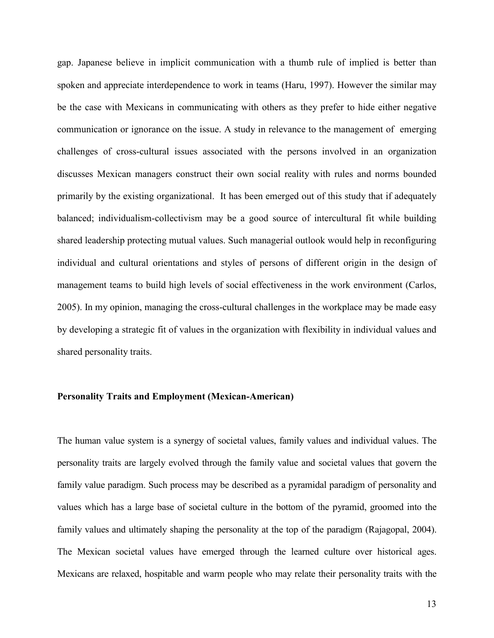gap. Japanese believe in implicit communication with a thumb rule of implied is better than spoken and appreciate interdependence to work in teams (Haru, 1997). However the similar may be the case with Mexicans in communicating with others as they prefer to hide either negative communication or ignorance on the issue. A study in relevance to the management of emerging challenges of cross-cultural issues associated with the persons involved in an organization discusses Mexican managers construct their own social reality with rules and norms bounded primarily by the existing organizational. It has been emerged out of this study that if adequately balanced; individualism-collectivism may be a good source of intercultural fit while building shared leadership protecting mutual values. Such managerial outlook would help in reconfiguring individual and cultural orientations and styles of persons of different origin in the design of management teams to build high levels of social effectiveness in the work environment (Carlos, 2005). In my opinion, managing the cross-cultural challenges in the workplace may be made easy by developing a strategic fit of values in the organization with flexibility in individual values and shared personality traits.

## Personality Traits and Employment (Mexican-American)

The human value system is a synergy of societal values, family values and individual values. The personality traits are largely evolved through the family value and societal values that govern the family value paradigm. Such process may be described as a pyramidal paradigm of personality and values which has a large base of societal culture in the bottom of the pyramid, groomed into the family values and ultimately shaping the personality at the top of the paradigm (Rajagopal, 2004). The Mexican societal values have emerged through the learned culture over historical ages. Mexicans are relaxed, hospitable and warm people who may relate their personality traits with the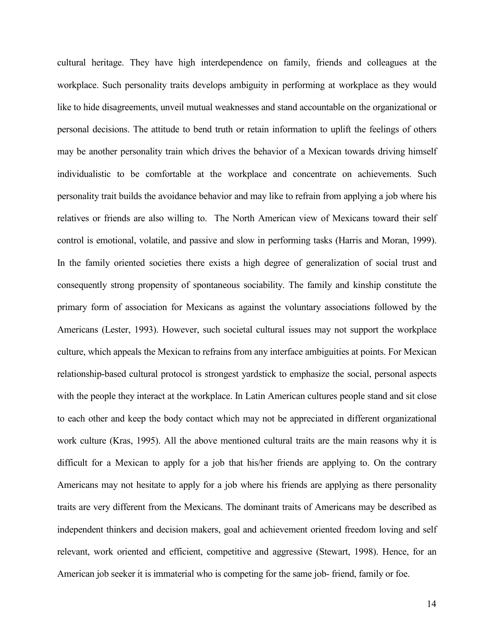cultural heritage. They have high interdependence on family, friends and colleagues at the workplace. Such personality traits develops ambiguity in performing at workplace as they would like to hide disagreements, unveil mutual weaknesses and stand accountable on the organizational or personal decisions. The attitude to bend truth or retain information to uplift the feelings of others may be another personality train which drives the behavior of a Mexican towards driving himself individualistic to be comfortable at the workplace and concentrate on achievements. Such personality trait builds the avoidance behavior and may like to refrain from applying a job where his relatives or friends are also willing to. The North American view of Mexicans toward their self control is emotional, volatile, and passive and slow in performing tasks (Harris and Moran, 1999). In the family oriented societies there exists a high degree of generalization of social trust and consequently strong propensity of spontaneous sociability. The family and kinship constitute the primary form of association for Mexicans as against the voluntary associations followed by the Americans (Lester, 1993). However, such societal cultural issues may not support the workplace culture, which appeals the Mexican to refrains from any interface ambiguities at points. For Mexican relationship-based cultural protocol is strongest yardstick to emphasize the social, personal aspects with the people they interact at the workplace. In Latin American cultures people stand and sit close to each other and keep the body contact which may not be appreciated in different organizational work culture (Kras, 1995). All the above mentioned cultural traits are the main reasons why it is difficult for a Mexican to apply for a job that his/her friends are applying to. On the contrary Americans may not hesitate to apply for a job where his friends are applying as there personality traits are very different from the Mexicans. The dominant traits of Americans may be described as independent thinkers and decision makers, goal and achievement oriented freedom loving and self relevant, work oriented and efficient, competitive and aggressive (Stewart, 1998). Hence, for an American job seeker it is immaterial who is competing for the same job- friend, family or foe.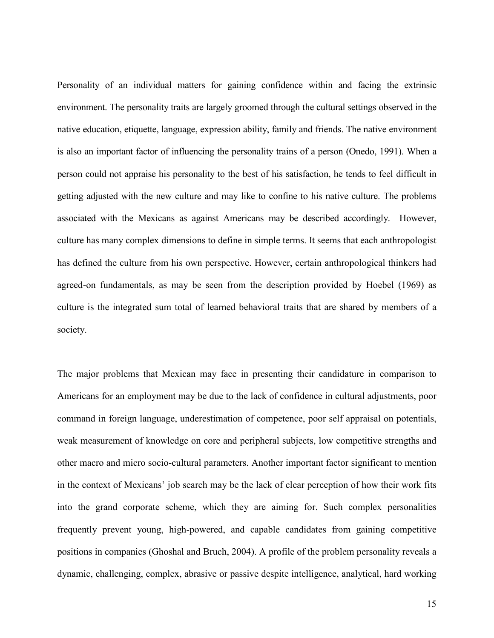Personality of an individual matters for gaining confidence within and facing the extrinsic environment. The personality traits are largely groomed through the cultural settings observed in the native education, etiquette, language, expression ability, family and friends. The native environment is also an important factor of influencing the personality trains of a person (Onedo, 1991). When a person could not appraise his personality to the best of his satisfaction, he tends to feel difficult in getting adjusted with the new culture and may like to confine to his native culture. The problems associated with the Mexicans as against Americans may be described accordingly. However, culture has many complex dimensions to define in simple terms. It seems that each anthropologist has defined the culture from his own perspective. However, certain anthropological thinkers had agreed-on fundamentals, as may be seen from the description provided by Hoebel (1969) as culture is the integrated sum total of learned behavioral traits that are shared by members of a society.

The major problems that Mexican may face in presenting their candidature in comparison to Americans for an employment may be due to the lack of confidence in cultural adjustments, poor command in foreign language, underestimation of competence, poor self appraisal on potentials, weak measurement of knowledge on core and peripheral subjects, low competitive strengths and other macro and micro socio-cultural parameters. Another important factor significant to mention in the context of Mexicans' job search may be the lack of clear perception of how their work fits into the grand corporate scheme, which they are aiming for. Such complex personalities frequently prevent young, high-powered, and capable candidates from gaining competitive positions in companies (Ghoshal and Bruch, 2004). A profile of the problem personality reveals a dynamic, challenging, complex, abrasive or passive despite intelligence, analytical, hard working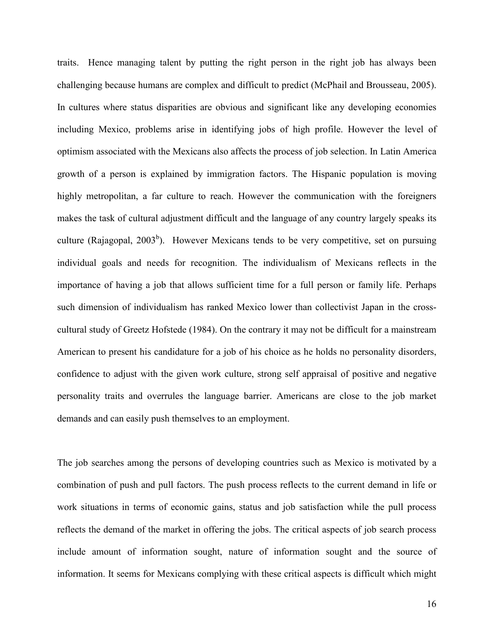traits. Hence managing talent by putting the right person in the right job has always been challenging because humans are complex and difficult to predict (McPhail and Brousseau, 2005). In cultures where status disparities are obvious and significant like any developing economies including Mexico, problems arise in identifying jobs of high profile. However the level of optimism associated with the Mexicans also affects the process of job selection. In Latin America growth of a person is explained by immigration factors. The Hispanic population is moving highly metropolitan, a far culture to reach. However the communication with the foreigners makes the task of cultural adjustment difficult and the language of any country largely speaks its culture (Rajagopal,  $2003<sup>b</sup>$ ). However Mexicans tends to be very competitive, set on pursuing individual goals and needs for recognition. The individualism of Mexicans reflects in the importance of having a job that allows sufficient time for a full person or family life. Perhaps such dimension of individualism has ranked Mexico lower than collectivist Japan in the crosscultural study of Greetz Hofstede (1984). On the contrary it may not be difficult for a mainstream American to present his candidature for a job of his choice as he holds no personality disorders, confidence to adjust with the given work culture, strong self appraisal of positive and negative personality traits and overrules the language barrier. Americans are close to the job market demands and can easily push themselves to an employment.

The job searches among the persons of developing countries such as Mexico is motivated by a combination of push and pull factors. The push process reflects to the current demand in life or work situations in terms of economic gains, status and job satisfaction while the pull process reflects the demand of the market in offering the jobs. The critical aspects of job search process include amount of information sought, nature of information sought and the source of information. It seems for Mexicans complying with these critical aspects is difficult which might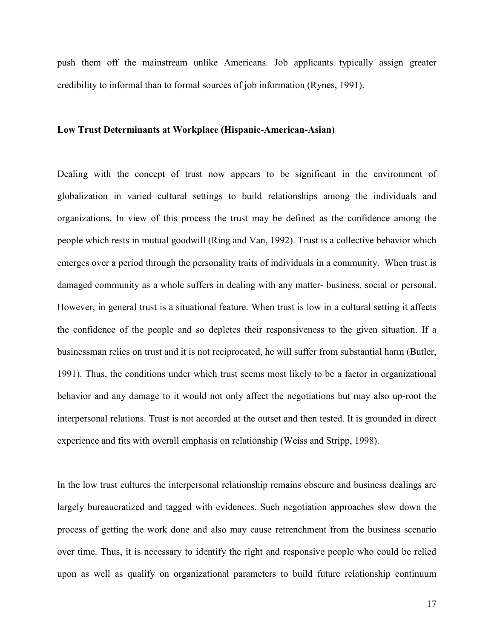push them off the mainstream unlike Americans. Job applicants typically assign greater credibility to informal than to formal sources of job information (Rynes, 1991).

#### Low Trust Determinants at Workplace (Hispanic-American-Asian)

Dealing with the concept of trust now appears to be significant in the environment of globalization in varied cultural settings to build relationships among the individuals and organizations. In view of this process the trust may be defined as the confidence among the people which rests in mutual goodwill (Ring and Van, 1992). Trust is a collective behavior which emerges over a period through the personality traits of individuals in a community. When trust is damaged community as a whole suffers in dealing with any matter- business, social or personal. However, in general trust is a situational feature. When trust is low in a cultural setting it affects the confidence of the people and so depletes their responsiveness to the given situation. If a businessman relies on trust and it is not reciprocated, he will suffer from substantial harm (Butler, 1991). Thus, the conditions under which trust seems most likely to be a factor in organizational behavior and any damage to it would not only affect the negotiations but may also up-root the interpersonal relations. Trust is not accorded at the outset and then tested. It is grounded in direct experience and fits with overall emphasis on relationship (Weiss and Stripp, 1998).

In the low trust cultures the interpersonal relationship remains obscure and business dealings are largely bureaucratized and tagged with evidences. Such negotiation approaches slow down the process of getting the work done and also may cause retrenchment from the business scenario over time. Thus, it is necessary to identify the right and responsive people who could be relied upon as well as qualify on organizational parameters to build future relationship continuum

17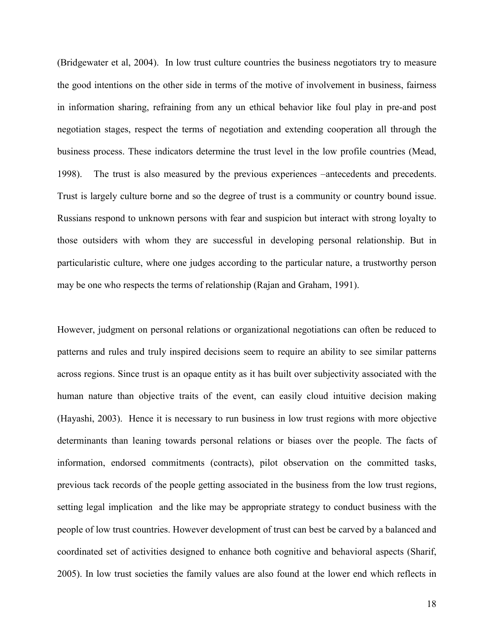(Bridgewater et al, 2004). In low trust culture countries the business negotiators try to measure the good intentions on the other side in terms of the motive of involvement in business, fairness in information sharing, refraining from any un ethical behavior like foul play in pre-and post negotiation stages, respect the terms of negotiation and extending cooperation all through the business process. These indicators determine the trust level in the low profile countries (Mead, 1998). The trust is also measured by the previous experiences –antecedents and precedents. Trust is largely culture borne and so the degree of trust is a community or country bound issue. Russians respond to unknown persons with fear and suspicion but interact with strong loyalty to those outsiders with whom they are successful in developing personal relationship. But in particularistic culture, where one judges according to the particular nature, a trustworthy person may be one who respects the terms of relationship (Rajan and Graham, 1991).

However, judgment on personal relations or organizational negotiations can often be reduced to patterns and rules and truly inspired decisions seem to require an ability to see similar patterns across regions. Since trust is an opaque entity as it has built over subjectivity associated with the human nature than objective traits of the event, can easily cloud intuitive decision making (Hayashi, 2003). Hence it is necessary to run business in low trust regions with more objective determinants than leaning towards personal relations or biases over the people. The facts of information, endorsed commitments (contracts), pilot observation on the committed tasks, previous tack records of the people getting associated in the business from the low trust regions, setting legal implication and the like may be appropriate strategy to conduct business with the people of low trust countries. However development of trust can best be carved by a balanced and coordinated set of activities designed to enhance both cognitive and behavioral aspects (Sharif, 2005). In low trust societies the family values are also found at the lower end which reflects in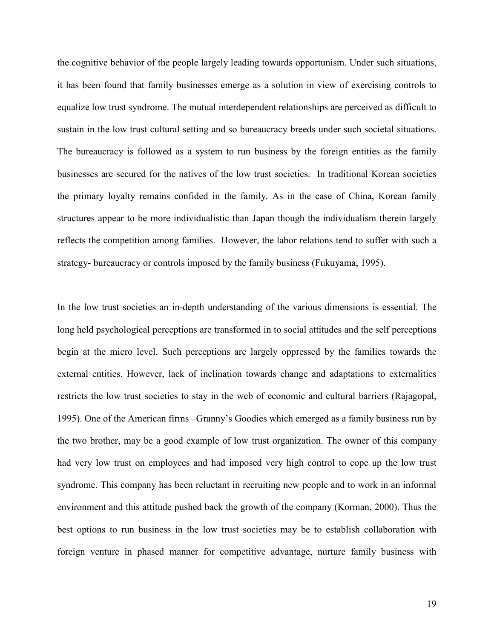the cognitive behavior of the people largely leading towards opportunism. Under such situations, it has been found that family businesses emerge as a solution in view of exercising controls to equalize low trust syndrome. The mutual interdependent relationships are perceived as difficult to sustain in the low trust cultural setting and so bureaucracy breeds under such societal situations. The bureaucracy is followed as a system to run business by the foreign entities as the family businesses are secured for the natives of the low trust societies. In traditional Korean societies the primary loyalty remains confided in the family. As in the case of China, Korean family structures appear to be more individualistic than Japan though the individualism therein largely reflects the competition among families. However, the labor relations tend to suffer with such a strategy- bureaucracy or controls imposed by the family business (Fukuyama, 1995).

In the low trust societies an in-depth understanding of the various dimensions is essential. The long held psychological perceptions are transformed in to social attitudes and the self perceptions begin at the micro level. Such perceptions are largely oppressed by the families towards the external entities. However, lack of inclination towards change and adaptations to externalities restricts the low trust societies to stay in the web of economic and cultural barriers (Rajagopal, 1995). One of the American firms –Granny's Goodies which emerged as a family business run by the two brother, may be a good example of low trust organization. The owner of this company had very low trust on employees and had imposed very high control to cope up the low trust syndrome. This company has been reluctant in recruiting new people and to work in an informal environment and this attitude pushed back the growth of the company (Korman, 2000). Thus the best options to run business in the low trust societies may be to establish collaboration with foreign venture in phased manner for competitive advantage, nurture family business with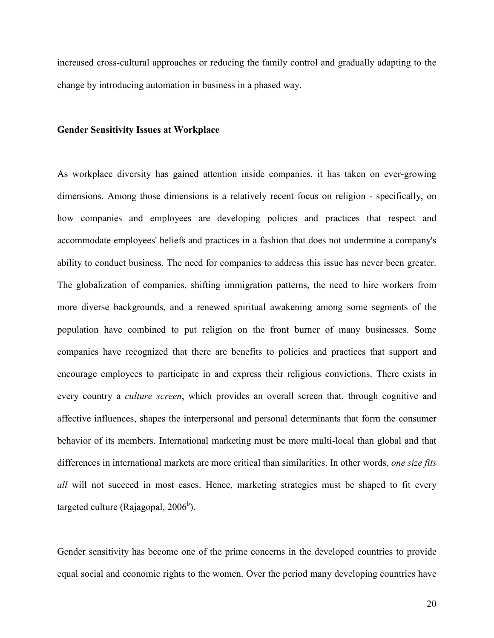increased cross-cultural approaches or reducing the family control and gradually adapting to the change by introducing automation in business in a phased way.

#### Gender Sensitivity Issues at Workplace

As workplace diversity has gained attention inside companies, it has taken on ever-growing dimensions. Among those dimensions is a relatively recent focus on religion - specifically, on how companies and employees are developing policies and practices that respect and accommodate employees' beliefs and practices in a fashion that does not undermine a company's ability to conduct business. The need for companies to address this issue has never been greater. The globalization of companies, shifting immigration patterns, the need to hire workers from more diverse backgrounds, and a renewed spiritual awakening among some segments of the population have combined to put religion on the front burner of many businesses. Some companies have recognized that there are benefits to policies and practices that support and encourage employees to participate in and express their religious convictions. There exists in every country a *culture screen*, which provides an overall screen that, through cognitive and affective influences, shapes the interpersonal and personal determinants that form the consumer behavior of its members. International marketing must be more multi-local than global and that differences in international markets are more critical than similarities. In other words, one size fits all will not succeed in most cases. Hence, marketing strategies must be shaped to fit every targeted culture (Rajagopal,  $2006<sup>b</sup>$ ).

Gender sensitivity has become one of the prime concerns in the developed countries to provide equal social and economic rights to the women. Over the period many developing countries have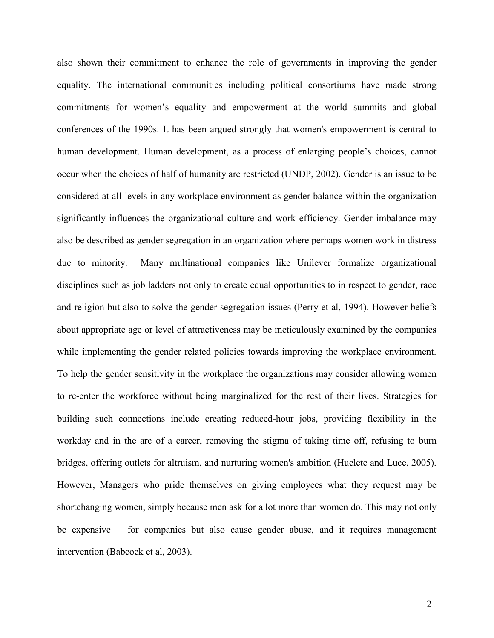also shown their commitment to enhance the role of governments in improving the gender equality. The international communities including political consortiums have made strong commitments for women's equality and empowerment at the world summits and global conferences of the 1990s. It has been argued strongly that women's empowerment is central to human development. Human development, as a process of enlarging people's choices, cannot occur when the choices of half of humanity are restricted (UNDP, 2002). Gender is an issue to be considered at all levels in any workplace environment as gender balance within the organization significantly influences the organizational culture and work efficiency. Gender imbalance may also be described as gender segregation in an organization where perhaps women work in distress due to minority. Many multinational companies like Unilever formalize organizational disciplines such as job ladders not only to create equal opportunities to in respect to gender, race and religion but also to solve the gender segregation issues (Perry et al, 1994). However beliefs about appropriate age or level of attractiveness may be meticulously examined by the companies while implementing the gender related policies towards improving the workplace environment. To help the gender sensitivity in the workplace the organizations may consider allowing women to re-enter the workforce without being marginalized for the rest of their lives. Strategies for building such connections include creating reduced-hour jobs, providing flexibility in the workday and in the arc of a career, removing the stigma of taking time off, refusing to burn bridges, offering outlets for altruism, and nurturing women's ambition (Huelete and Luce, 2005). However, Managers who pride themselves on giving employees what they request may be shortchanging women, simply because men ask for a lot more than women do. This may not only be expensive for companies but also cause gender abuse, and it requires management intervention (Babcock et al, 2003).

21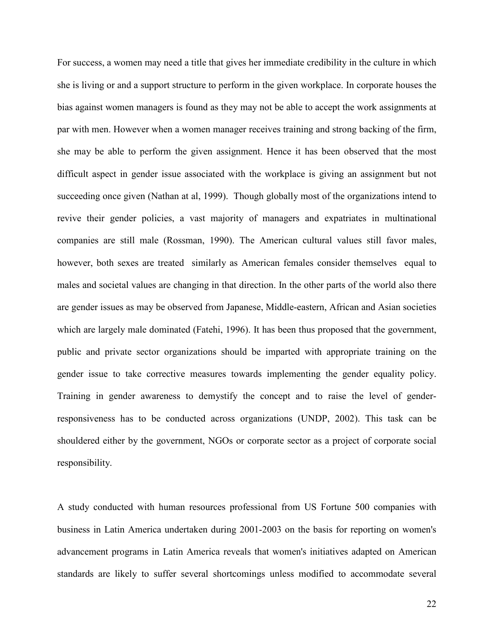For success, a women may need a title that gives her immediate credibility in the culture in which she is living or and a support structure to perform in the given workplace. In corporate houses the bias against women managers is found as they may not be able to accept the work assignments at par with men. However when a women manager receives training and strong backing of the firm, she may be able to perform the given assignment. Hence it has been observed that the most difficult aspect in gender issue associated with the workplace is giving an assignment but not succeeding once given (Nathan at al, 1999). Though globally most of the organizations intend to revive their gender policies, a vast majority of managers and expatriates in multinational companies are still male (Rossman, 1990). The American cultural values still favor males, however, both sexes are treated similarly as American females consider themselves equal to males and societal values are changing in that direction. In the other parts of the world also there are gender issues as may be observed from Japanese, Middle-eastern, African and Asian societies which are largely male dominated (Fatehi, 1996). It has been thus proposed that the government, public and private sector organizations should be imparted with appropriate training on the gender issue to take corrective measures towards implementing the gender equality policy. Training in gender awareness to demystify the concept and to raise the level of genderresponsiveness has to be conducted across organizations (UNDP, 2002). This task can be shouldered either by the government, NGOs or corporate sector as a project of corporate social responsibility.

A study conducted with human resources professional from US Fortune 500 companies with business in Latin America undertaken during 2001-2003 on the basis for reporting on women's advancement programs in Latin America reveals that women's initiatives adapted on American standards are likely to suffer several shortcomings unless modified to accommodate several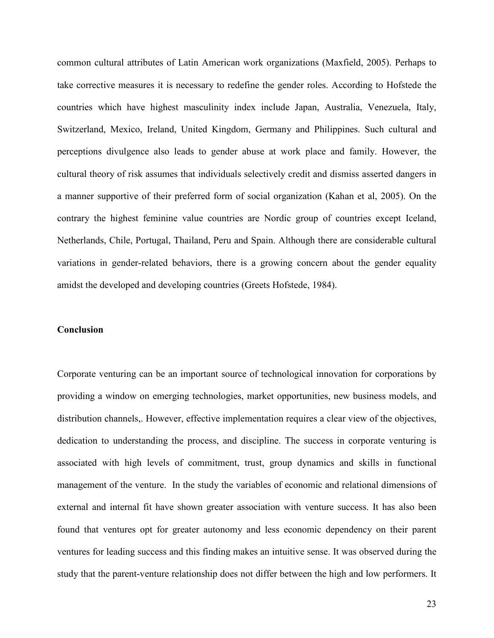common cultural attributes of Latin American work organizations (Maxfield, 2005). Perhaps to take corrective measures it is necessary to redefine the gender roles. According to Hofstede the countries which have highest masculinity index include Japan, Australia, Venezuela, Italy, Switzerland, Mexico, Ireland, United Kingdom, Germany and Philippines. Such cultural and perceptions divulgence also leads to gender abuse at work place and family. However, the cultural theory of risk assumes that individuals selectively credit and dismiss asserted dangers in a manner supportive of their preferred form of social organization (Kahan et al, 2005). On the contrary the highest feminine value countries are Nordic group of countries except Iceland, Netherlands, Chile, Portugal, Thailand, Peru and Spain. Although there are considerable cultural variations in gender-related behaviors, there is a growing concern about the gender equality amidst the developed and developing countries (Greets Hofstede, 1984).

#### **Conclusion**

Corporate venturing can be an important source of technological innovation for corporations by providing a window on emerging technologies, market opportunities, new business models, and distribution channels,. However, effective implementation requires a clear view of the objectives, dedication to understanding the process, and discipline. The success in corporate venturing is associated with high levels of commitment, trust, group dynamics and skills in functional management of the venture. In the study the variables of economic and relational dimensions of external and internal fit have shown greater association with venture success. It has also been found that ventures opt for greater autonomy and less economic dependency on their parent ventures for leading success and this finding makes an intuitive sense. It was observed during the study that the parent-venture relationship does not differ between the high and low performers. It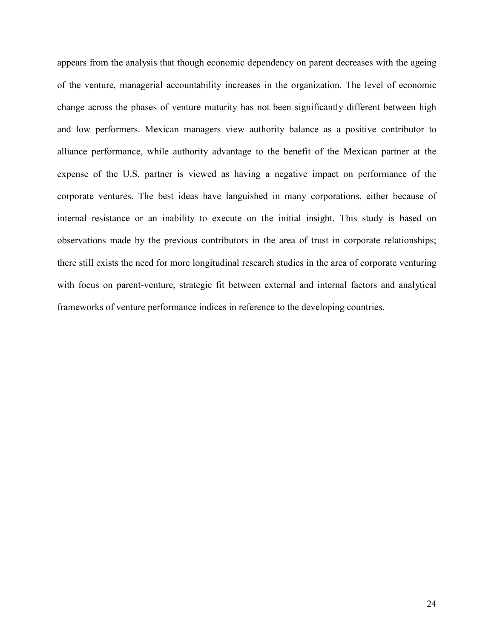appears from the analysis that though economic dependency on parent decreases with the ageing of the venture, managerial accountability increases in the organization. The level of economic change across the phases of venture maturity has not been significantly different between high and low performers. Mexican managers view authority balance as a positive contributor to alliance performance, while authority advantage to the benefit of the Mexican partner at the expense of the U.S. partner is viewed as having a negative impact on performance of the corporate ventures. The best ideas have languished in many corporations, either because of internal resistance or an inability to execute on the initial insight. This study is based on observations made by the previous contributors in the area of trust in corporate relationships; there still exists the need for more longitudinal research studies in the area of corporate venturing with focus on parent-venture, strategic fit between external and internal factors and analytical frameworks of venture performance indices in reference to the developing countries.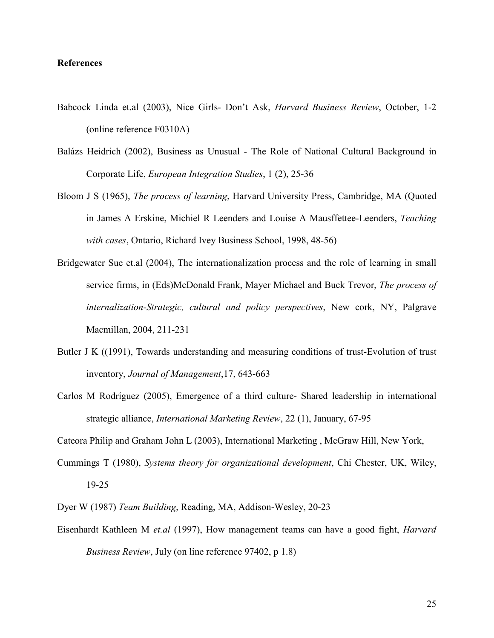### **References**

- Babcock Linda et.al (2003), Nice Girls- Don't Ask, Harvard Business Review, October, 1-2 (online reference F0310A)
- Balázs Heidrich (2002), Business as Unusual The Role of National Cultural Background in Corporate Life, European Integration Studies, 1 (2), 25-36
- Bloom J S (1965), The process of learning, Harvard University Press, Cambridge, MA (Quoted in James A Erskine, Michiel R Leenders and Louise A Mausffettee-Leenders, Teaching with cases, Ontario, Richard Ivey Business School, 1998, 48-56)
- Bridgewater Sue et.al (2004), The internationalization process and the role of learning in small service firms, in (Eds)McDonald Frank, Mayer Michael and Buck Trevor, The process of internalization-Strategic, cultural and policy perspectives, New cork, NY, Palgrave Macmillan, 2004, 211-231
- Butler J K ((1991), Towards understanding and measuring conditions of trust-Evolution of trust inventory, Journal of Management,17, 643-663
- Carlos M Rodríguez (2005), Emergence of a third culture- Shared leadership in international strategic alliance, International Marketing Review, 22 (1), January, 67-95

Cateora Philip and Graham John L (2003), International Marketing , McGraw Hill, New York,

- Cummings T (1980), Systems theory for organizational development, Chi Chester, UK, Wiley, 19-25
- Dyer W (1987) Team Building, Reading, MA, Addison-Wesley, 20-23
- Eisenhardt Kathleen M *et.al* (1997), How management teams can have a good fight, *Harvard* Business Review, July (on line reference 97402, p 1.8)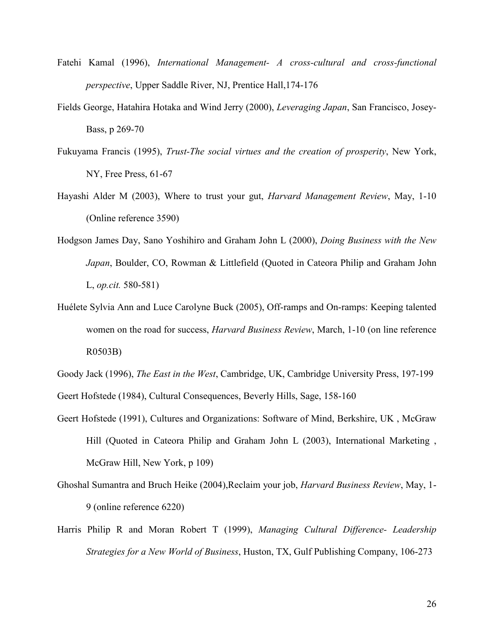- Fatehi Kamal (1996), International Management- A cross-cultural and cross-functional perspective, Upper Saddle River, NJ, Prentice Hall,174-176
- Fields George, Hatahira Hotaka and Wind Jerry (2000), Leveraging Japan, San Francisco, Josey-Bass, p 269-70
- Fukuyama Francis (1995), Trust-The social virtues and the creation of prosperity, New York, NY, Free Press, 61-67
- Hayashi Alder M (2003), Where to trust your gut, Harvard Management Review, May, 1-10 (Online reference 3590)
- Hodgson James Day, Sano Yoshihiro and Graham John L (2000), Doing Business with the New Japan, Boulder, CO, Rowman & Littlefield (Quoted in Cateora Philip and Graham John L, op.cit. 580-581)
- Huélete Sylvia Ann and Luce Carolyne Buck (2005), Off-ramps and On-ramps: Keeping talented women on the road for success, *Harvard Business Review*, March, 1-10 (on line reference R0503B)

Goody Jack (1996), The East in the West, Cambridge, UK, Cambridge University Press, 197-199 Geert Hofstede (1984), Cultural Consequences, Beverly Hills, Sage, 158-160

- Geert Hofstede (1991), Cultures and Organizations: Software of Mind, Berkshire, UK , McGraw Hill (Quoted in Cateora Philip and Graham John L (2003), International Marketing , McGraw Hill, New York, p 109)
- Ghoshal Sumantra and Bruch Heike (2004),Reclaim your job, Harvard Business Review, May, 1- 9 (online reference 6220)
- Harris Philip R and Moran Robert T (1999), Managing Cultural Difference- Leadership Strategies for a New World of Business, Huston, TX, Gulf Publishing Company, 106-273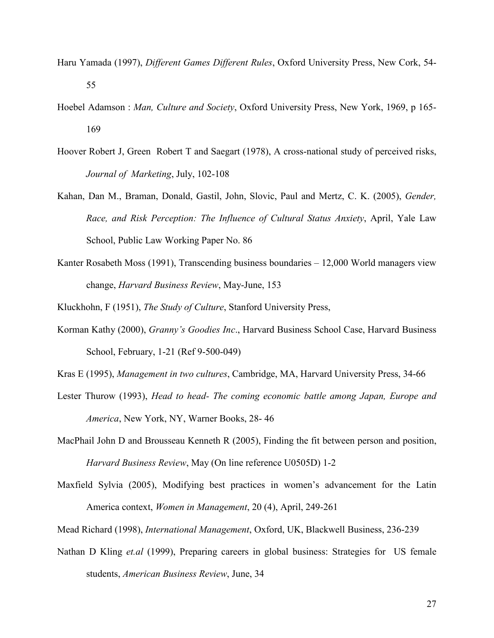- Haru Yamada (1997), Different Games Different Rules, Oxford University Press, New Cork, 54- 55
- Hoebel Adamson : Man, Culture and Society, Oxford University Press, New York, 1969, p 165- 169
- Hoover Robert J, Green Robert T and Saegart (1978), A cross-national study of perceived risks, Journal of Marketing, July, 102-108
- Kahan, Dan M., Braman, Donald, Gastil, John, Slovic, Paul and Mertz, C. K. (2005), Gender, Race, and Risk Perception: The Influence of Cultural Status Anxiety, April, Yale Law School, Public Law Working Paper No. 86
- Kanter Rosabeth Moss (1991), Transcending business boundaries 12,000 World managers view change, Harvard Business Review, May-June, 153

Kluckhohn, F (1951), The Study of Culture, Stanford University Press,

- Korman Kathy (2000), Granny's Goodies Inc., Harvard Business School Case, Harvard Business School, February, 1-21 (Ref 9-500-049)
- Kras E (1995), Management in two cultures, Cambridge, MA, Harvard University Press, 34-66
- Lester Thurow (1993), Head to head- The coming economic battle among Japan, Europe and America, New York, NY, Warner Books, 28- 46

MacPhail John D and Brousseau Kenneth R (2005), Finding the fit between person and position, Harvard Business Review, May (On line reference U0505D) 1-2

- Maxfield Sylvia (2005), Modifying best practices in women's advancement for the Latin America context, Women in Management, 20 (4), April, 249-261
- Mead Richard (1998), International Management, Oxford, UK, Blackwell Business, 236-239
- Nathan D Kling *et.al* (1999), Preparing careers in global business: Strategies for US female students, American Business Review, June, 34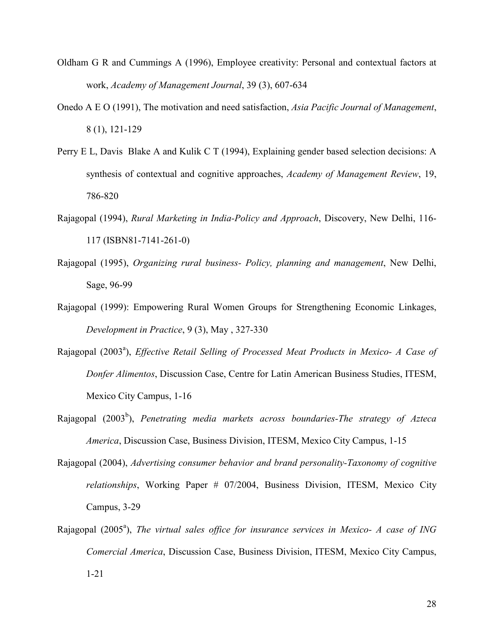- Oldham G R and Cummings A (1996), Employee creativity: Personal and contextual factors at work, Academy of Management Journal, 39 (3), 607-634
- Onedo A E O (1991), The motivation and need satisfaction, Asia Pacific Journal of Management, 8 (1), 121-129
- Perry E L, Davis Blake A and Kulik C T (1994), Explaining gender based selection decisions: A synthesis of contextual and cognitive approaches, Academy of Management Review, 19, 786-820
- Rajagopal (1994), Rural Marketing in India-Policy and Approach, Discovery, New Delhi, 116- 117 (ISBN81-7141-261-0)
- Rajagopal (1995), Organizing rural business- Policy, planning and management, New Delhi, Sage, 96-99
- Rajagopal (1999): Empowering Rural Women Groups for Strengthening Economic Linkages, Development in Practice, 9 (3), May , 327-330
- Rajagopal (2003<sup>a</sup>), *Effective Retail Selling of Processed Meat Products in Mexico- A Case of* Donfer Alimentos, Discussion Case, Centre for Latin American Business Studies, ITESM, Mexico City Campus, 1-16
- Rajagopal (2003<sup>b</sup>), Penetrating media markets across boundaries-The strategy of Azteca America, Discussion Case, Business Division, ITESM, Mexico City Campus, 1-15
- Rajagopal (2004), Advertising consumer behavior and brand personality-Taxonomy of cognitive relationships, Working Paper # 07/2004, Business Division, ITESM, Mexico City Campus, 3-29
- Rajagopal (2005<sup>a</sup>), The virtual sales office for insurance services in Mexico- A case of ING Comercial America, Discussion Case, Business Division, ITESM, Mexico City Campus, 1-21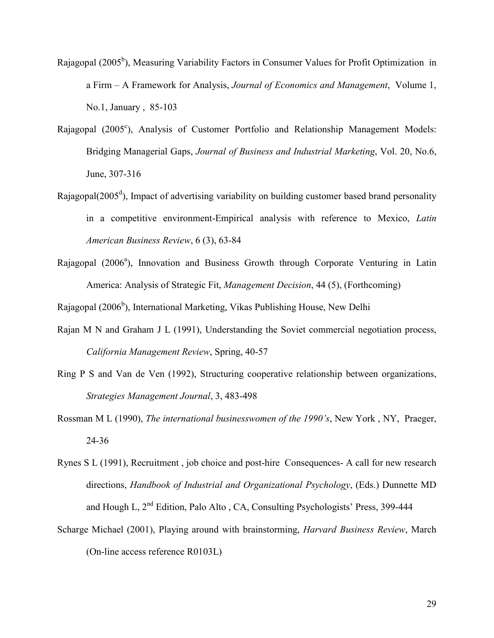- Rajagopal (2005<sup>b</sup>), Measuring Variability Factors in Consumer Values for Profit Optimization in a Firm – A Framework for Analysis, Journal of Economics and Management, Volume 1, No.1, January , 85-103
- Rajagopal (2005<sup>c</sup>), Analysis of Customer Portfolio and Relationship Management Models: Bridging Managerial Gaps, Journal of Business and Industrial Marketing, Vol. 20, No.6, June, 307-316
- Rajagopal(2005<sup>d</sup>), Impact of advertising variability on building customer based brand personality in a competitive environment-Empirical analysis with reference to Mexico, Latin American Business Review, 6 (3), 63-84
- Rajagopal (2006<sup>a</sup>), Innovation and Business Growth through Corporate Venturing in Latin America: Analysis of Strategic Fit, Management Decision, 44 (5), (Forthcoming)

Rajagopal (2006<sup>b</sup>), International Marketing, Vikas Publishing House, New Delhi

- Rajan M N and Graham J L (1991), Understanding the Soviet commercial negotiation process, California Management Review, Spring, 40-57
- Ring P S and Van de Ven (1992), Structuring cooperative relationship between organizations, Strategies Management Journal, 3, 483-498
- Rossman M L (1990), The international businesswomen of the 1990's, New York , NY, Praeger, 24-36
- Rynes S L (1991), Recruitment , job choice and post-hire Consequences- A call for new research directions, Handbook of Industrial and Organizational Psychology, (Eds.) Dunnette MD and Hough L, 2<sup>nd</sup> Edition, Palo Alto, CA, Consulting Psychologists' Press, 399-444
- Scharge Michael (2001), Playing around with brainstorming, *Harvard Business Review*, March (On-line access reference R0103L)